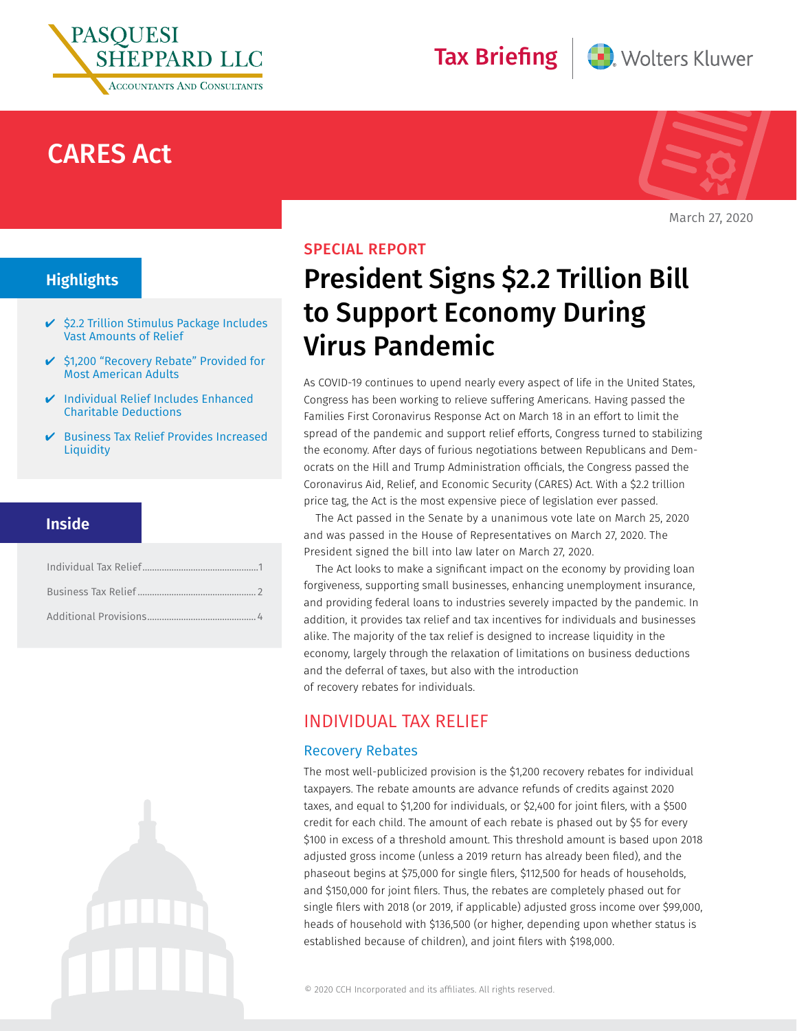

# CARES Act



Wolters Kluwer

March 27, 2020

## **Highlights**

- $\checkmark$  \$2.2 Trillion Stimulus Package Includes Vast Amounts of Relief
- ✔ \$1,200 "Recovery Rebate" Provided for Most American Adults
- $\vee$  Individual Relief Includes Enhanced Charitable Deductions
- ✔ Business Tax Relief Provides Increased **Liquidity**

## **Inside**





Tax Briefing

As COVID-19 continues to upend nearly every aspect of life in the United States, Congress has been working to relieve suffering Americans. Having passed the Families First Coronavirus Response Act on March 18 in an effort to limit the spread of the pandemic and support relief efforts, Congress turned to stabilizing the economy. After days of furious negotiations between Republicans and Democrats on the Hill and Trump Administration officials, the Congress passed the Coronavirus Aid, Relief, and Economic Security (CARES) Act. With a \$2.2 trillion price tag, the Act is the most expensive piece of legislation ever passed.

The Act passed in the Senate by a unanimous vote late on March 25, 2020 and was passed in the House of Representatives on March 27, 2020. The President signed the bill into law later on March 27, 2020.

The Act looks to make a significant impact on the economy by providing loan forgiveness, supporting small businesses, enhancing unemployment insurance, and providing federal loans to industries severely impacted by the pandemic. In addition, it provides tax relief and tax incentives for individuals and businesses alike. The majority of the tax relief is designed to increase liquidity in the economy, largely through the relaxation of limitations on business deductions and the deferral of taxes, but also with the introduction of recovery rebates for individuals.

## INDIVIDUAL TAX RELIEF

## Recovery Rebates

The most well-publicized provision is the \$1,200 recovery rebates for individual taxpayers. The rebate amounts are advance refunds of credits against 2020 taxes, and equal to \$1,200 for individuals, or \$2,400 for joint filers, with a \$500 credit for each child. The amount of each rebate is phased out by \$5 for every \$100 in excess of a threshold amount. This threshold amount is based upon 2018 adjusted gross income (unless a 2019 return has already been filed), and the phaseout begins at \$75,000 for single filers, \$112,500 for heads of households, and \$150,000 for joint filers. Thus, the rebates are completely phased out for single filers with 2018 (or 2019, if applicable) adjusted gross income over \$99,000, heads of household with \$136,500 (or higher, depending upon whether status is established because of children), and joint filers with \$198,000.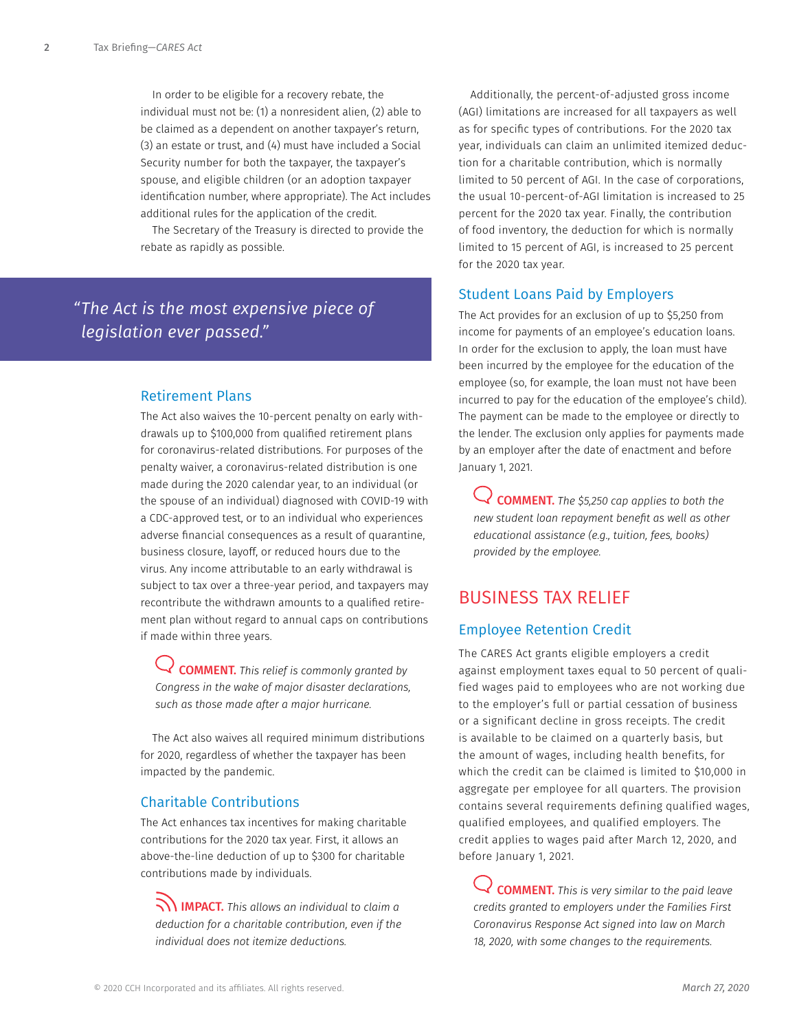<span id="page-1-0"></span>In order to be eligible for a recovery rebate, the individual must not be: (1) a nonresident alien, (2) able to be claimed as a dependent on another taxpayer's return, (3) an estate or trust, and (4) must have included a Social Security number for both the taxpayer, the taxpayer's spouse, and eligible children (or an adoption taxpayer identification number, where appropriate). The Act includes additional rules for the application of the credit.

The Secretary of the Treasury is directed to provide the rebate as rapidly as possible.

## *"The Act is the most expensive piece of legislation ever passed."*

#### Retirement Plans

The Act also waives the 10-percent penalty on early withdrawals up to \$100,000 from qualified retirement plans for coronavirus-related distributions. For purposes of the penalty waiver, a coronavirus-related distribution is one made during the 2020 calendar year, to an individual (or the spouse of an individual) diagnosed with COVID-19 with a CDC-approved test, or to an individual who experiences adverse financial consequences as a result of quarantine, business closure, layoff, or reduced hours due to the virus. Any income attributable to an early withdrawal is subject to tax over a three-year period, and taxpayers may recontribute the withdrawn amounts to a qualified retirement plan without regard to annual caps on contributions if made within three years.

COMMENT. *This relief is commonly granted by Congress in the wake of major disaster declarations, such as those made after a major hurricane.*

The Act also waives all required minimum distributions for 2020, regardless of whether the taxpayer has been impacted by the pandemic.

## Charitable Contributions

The Act enhances tax incentives for making charitable contributions for the 2020 tax year. First, it allows an above-the-line deduction of up to \$300 for charitable contributions made by individuals.

IMPACT. *This allows an individual to claim a deduction for a charitable contribution, even if the individual does not itemize deductions.*

Additionally, the percent-of-adjusted gross income (AGI) limitations are increased for all taxpayers as well as for specific types of contributions. For the 2020 tax year, individuals can claim an unlimited itemized deduction for a charitable contribution, which is normally limited to 50 percent of AGI. In the case of corporations, the usual 10-percent-of-AGI limitation is increased to 25 percent for the 2020 tax year. Finally, the contribution of food inventory, the deduction for which is normally limited to 15 percent of AGI, is increased to 25 percent for the 2020 tax year.

## Student Loans Paid by Employers

The Act provides for an exclusion of up to \$5,250 from income for payments of an employee's education loans. In order for the exclusion to apply, the loan must have been incurred by the employee for the education of the employee (so, for example, the loan must not have been incurred to pay for the education of the employee's child). The payment can be made to the employee or directly to the lender. The exclusion only applies for payments made by an employer after the date of enactment and before January 1, 2021.

COMMENT. *The \$5,250 cap applies to both the new student loan repayment benefit as well as other educational assistance (e.g., tuition, fees, books) provided by the employee.* 

## BUSINESS TAX RELIEF

## Employee Retention Credit

The CARES Act grants eligible employers a credit against employment taxes equal to 50 percent of qualified wages paid to employees who are not working due to the employer's full or partial cessation of business or a significant decline in gross receipts. The credit is available to be claimed on a quarterly basis, but the amount of wages, including health benefits, for which the credit can be claimed is limited to \$10,000 in aggregate per employee for all quarters. The provision contains several requirements defining qualified wages, qualified employees, and qualified employers. The credit applies to wages paid after March 12, 2020, and before January 1, 2021.

COMMENT. *This is very similar to the paid leave credits granted to employers under the Families First Coronavirus Response Act signed into law on March 18, 2020, with some changes to the requirements.*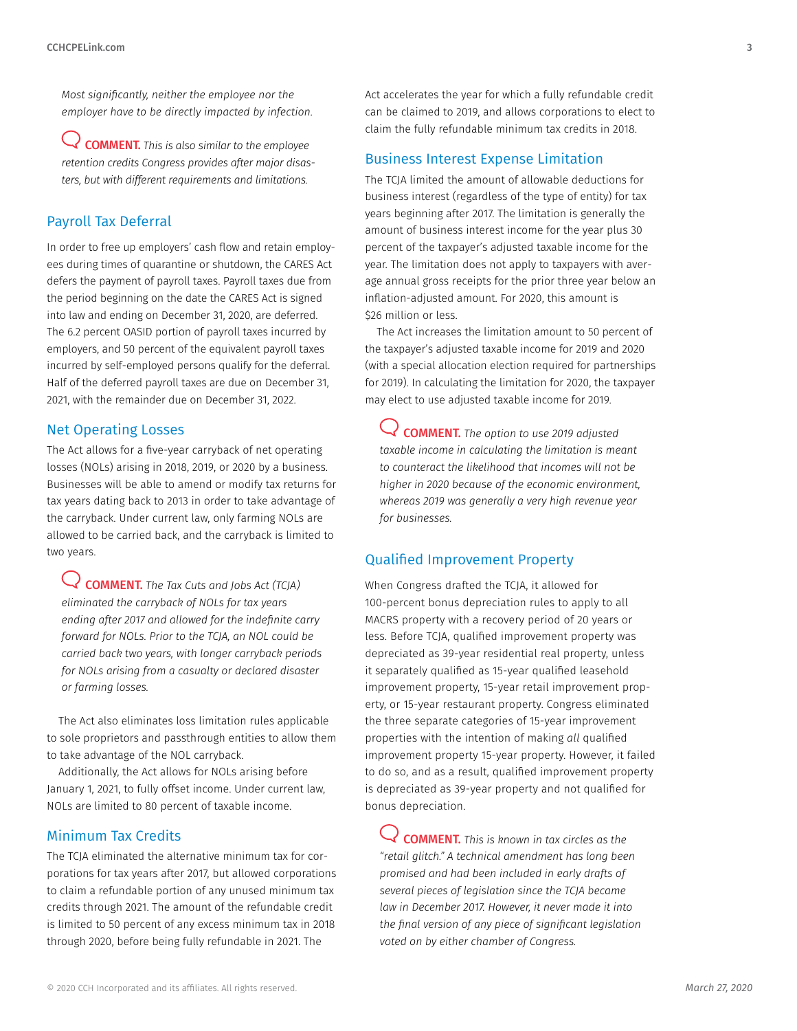*Most significantly, neither the employee nor the employer have to be directly impacted by infection.*

COMMENT. *This is also similar to the employee retention credits Congress provides after major disasters, but with different requirements and limitations.*

## Payroll Tax Deferral

In order to free up employers' cash flow and retain employees during times of quarantine or shutdown, the CARES Act defers the payment of payroll taxes. Payroll taxes due from the period beginning on the date the CARES Act is signed into law and ending on December 31, 2020, are deferred. The 6.2 percent OASID portion of payroll taxes incurred by employers, and 50 percent of the equivalent payroll taxes incurred by self-employed persons qualify for the deferral. Half of the deferred payroll taxes are due on December 31, 2021, with the remainder due on December 31, 2022.

#### Net Operating Losses

The Act allows for a five-year carryback of net operating losses (NOLs) arising in 2018, 2019, or 2020 by a business. Businesses will be able to amend or modify tax returns for tax years dating back to 2013 in order to take advantage of the carryback. Under current law, only farming NOLs are allowed to be carried back, and the carryback is limited to two years.

COMMENT. *The Tax Cuts and Jobs Act (TCJA) eliminated the carryback of NOLs for tax years ending after 2017 and allowed for the indefinite carry forward for NOLs. Prior to the TCJA, an NOL could be carried back two years, with longer carryback periods for NOLs arising from a casualty or declared disaster or farming losses.*

The Act also eliminates loss limitation rules applicable to sole proprietors and passthrough entities to allow them to take advantage of the NOL carryback.

Additionally, the Act allows for NOLs arising before January 1, 2021, to fully offset income. Under current law, NOLs are limited to 80 percent of taxable income.

## Minimum Tax Credits

The TCJA eliminated the alternative minimum tax for corporations for tax years after 2017, but allowed corporations to claim a refundable portion of any unused minimum tax credits through 2021. The amount of the refundable credit is limited to 50 percent of any excess minimum tax in 2018 through 2020, before being fully refundable in 2021. The

Act accelerates the year for which a fully refundable credit can be claimed to 2019, and allows corporations to elect to claim the fully refundable minimum tax credits in 2018.

#### Business Interest Expense Limitation

The TCJA limited the amount of allowable deductions for business interest (regardless of the type of entity) for tax years beginning after 2017. The limitation is generally the amount of business interest income for the year plus 30 percent of the taxpayer's adjusted taxable income for the year. The limitation does not apply to taxpayers with average annual gross receipts for the prior three year below an inflation-adjusted amount. For 2020, this amount is \$26 million or less.

The Act increases the limitation amount to 50 percent of the taxpayer's adjusted taxable income for 2019 and 2020 (with a special allocation election required for partnerships for 2019). In calculating the limitation for 2020, the taxpayer may elect to use adjusted taxable income for 2019.

COMMENT. *The option to use 2019 adjusted taxable income in calculating the limitation is meant to counteract the likelihood that incomes will not be higher in 2020 because of the economic environment, whereas 2019 was generally a very high revenue year for businesses.*

#### Qualified Improvement Property

When Congress drafted the TCJA, it allowed for 100-percent bonus depreciation rules to apply to all MACRS property with a recovery period of 20 years or less. Before TCJA, qualified improvement property was depreciated as 39-year residential real property, unless it separately qualified as 15-year qualified leasehold improvement property, 15-year retail improvement property, or 15-year restaurant property. Congress eliminated the three separate categories of 15-year improvement properties with the intention of making *all* qualified improvement property 15-year property. However, it failed to do so, and as a result, qualified improvement property is depreciated as 39-year property and not qualified for bonus depreciation.

COMMENT. *This is known in tax circles as the "retail glitch." A technical amendment has long been promised and had been included in early drafts of several pieces of legislation since the TCJA became law in December 2017. However, it never made it into the final version of any piece of significant legislation voted on by either chamber of Congress.*